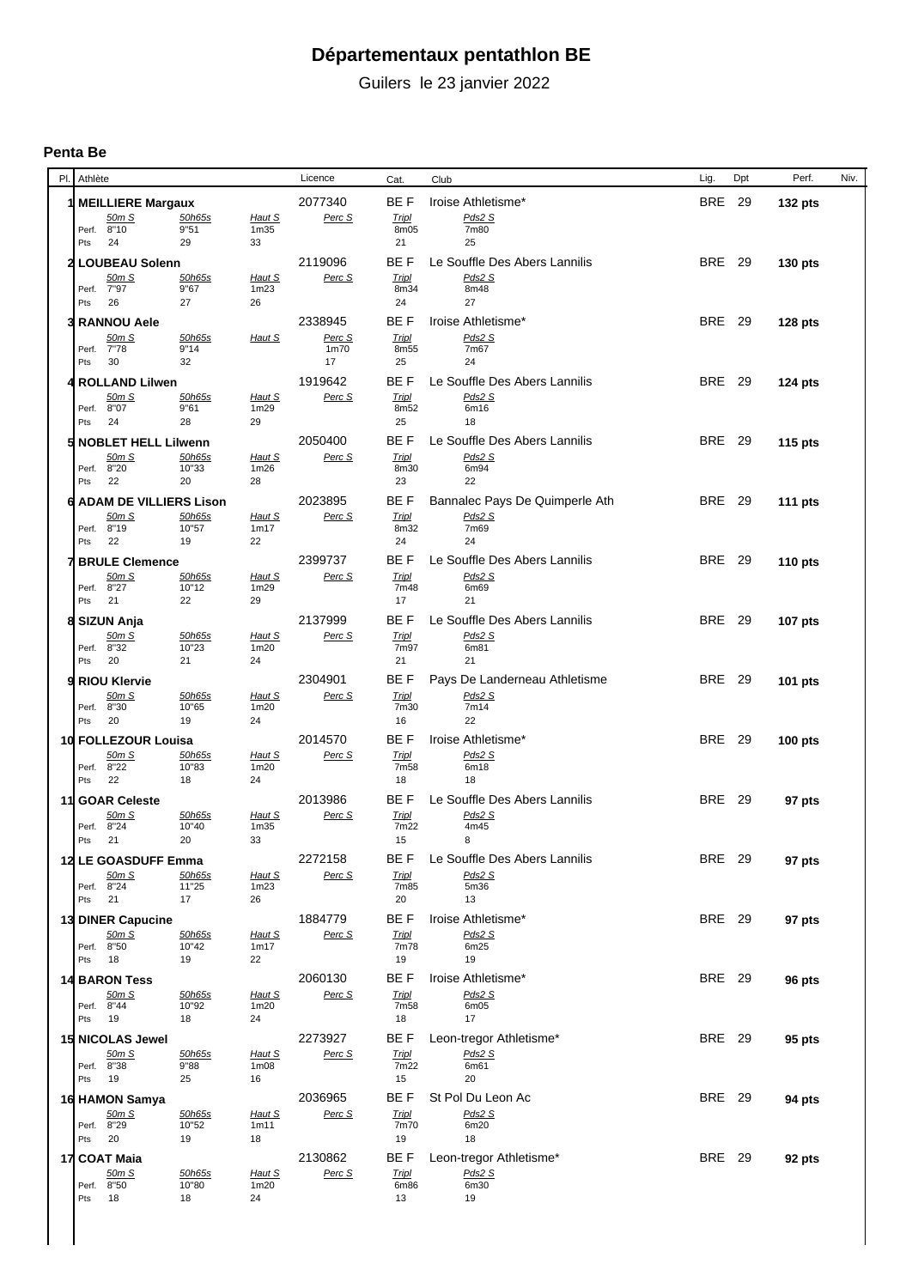## **Départementaux pentathlon BE**

Guilers le 23 janvier 2022

## **Penta Be**

| PI. | Athlète                                |                 |                                         | Licence           | Cat.                   | Club                                     | Lig.          | Dpt | Perf.          | Niv. |
|-----|----------------------------------------|-----------------|-----------------------------------------|-------------------|------------------------|------------------------------------------|---------------|-----|----------------|------|
|     | <b>MEILLIERE Margaux</b>               |                 |                                         | 2077340           | BE F                   | Iroise Athletisme*                       | <b>BRE</b> 29 |     | 132 pts        |      |
|     | 50m S                                  | 50h65s          | Haut S                                  | Perc S            | <b>Tripl</b>           | Pds2 S                                   |               |     |                |      |
|     | Perf. 8"10<br>Pts<br>24                | 9"51<br>29      | 1 <sub>m35</sub><br>33                  |                   | 8m05<br>21             | 7m80<br>25                               |               |     |                |      |
|     | <b>LOUBEAU Solenn</b>                  |                 |                                         | 2119096           | BE F                   | Le Souffle Des Abers Lannilis            | <b>BRE</b> 29 |     | 130 pts        |      |
|     | 50m S                                  | 50h65s          | Haut S                                  | Perc S            | <b>Tripl</b>           | Pds2 S                                   |               |     |                |      |
|     | Perf. 7"97                             | 9"67            | 1m23                                    |                   | 8m34                   | 8m48<br>27                               |               |     |                |      |
|     | Pts<br>26                              | 27              | 26                                      |                   | 24                     |                                          |               |     |                |      |
|     | <b>RANNOU Aele</b><br>50m S            | 50h65s          | Haut S                                  | 2338945<br>Perc S | BE F<br><b>Tripl</b>   | Iroise Athletisme*<br>Pds2 S             | <b>BRE</b> 29 |     | 128 pts        |      |
|     | 7"78<br>Perf.                          | 9"14            |                                         | 1m70              | 8m55                   | 7m67                                     |               |     |                |      |
|     | Pts<br>30                              | 32              |                                         | 17                | 25                     | 24                                       |               |     |                |      |
|     | <b>ROLLAND Lilwen</b>                  |                 |                                         | 1919642           | BE F                   | Le Souffle Des Abers Lannilis            | <b>BRE</b> 29 |     | <b>124 pts</b> |      |
|     | 50m S<br>Perf. 8"07                    | 50h65s<br>9"61  | Haut S<br>1m29                          | Perc S            | <b>Tripl</b><br>8m52   | Pds2 S<br>6m16                           |               |     |                |      |
|     | Pts<br>24                              | 28              | 29                                      |                   | 25                     | 18                                       |               |     |                |      |
|     | <b>NOBLET HELL Lilwenn</b>             |                 |                                         | 2050400           | BE F                   | Le Souffle Des Abers Lannilis            | <b>BRE</b> 29 |     | <b>115 pts</b> |      |
|     | 50m S                                  | 50h65s          | Haut S                                  | Perc S            | <b>Tripl</b>           | Pds2 S                                   |               |     |                |      |
|     | Perf. 8"20                             | 10"33           | 1m26                                    |                   | 8m30                   | 6m94                                     |               |     |                |      |
|     | Pts<br>22                              | 20              | 28                                      |                   | 23                     | 22                                       |               |     |                |      |
|     | <b>ADAM DE VILLIERS Lison</b><br>50m S |                 |                                         | 2023895<br>Perc S | BE F                   | Bannalec Pays De Quimperle Ath<br>Pds2 S | <b>BRE</b> 29 |     | <b>111 pts</b> |      |
|     | Perf. 8"19                             | 50h65s<br>10"57 | Haut S<br>1m17                          |                   | <b>Tripl</b><br>8m32   | 7m69                                     |               |     |                |      |
|     | Pts<br>22                              | 19              | 22                                      |                   | 24                     | 24                                       |               |     |                |      |
|     | <b>BRULE Clemence</b>                  |                 |                                         | 2399737           | BE F                   | Le Souffle Des Abers Lannilis            | <b>BRE</b> 29 |     | <b>110 pts</b> |      |
|     | 50m S                                  | 50h65s          | Haut S                                  | Perc S            | <b>Tripl</b>           | Pds2 S                                   |               |     |                |      |
|     | 8"27<br>Perf.<br>Pts<br>21             | 10"12<br>22     | 1m29<br>29                              |                   | 7m48<br>17             | 6m69<br>21                               |               |     |                |      |
|     | SIZUN Anja                             |                 |                                         | 2137999           | BE F                   | Le Souffle Des Abers Lannilis            | <b>BRE</b> 29 |     | 107 pts        |      |
|     | 50m S                                  | 50h65s          | Haut S                                  | Perc S            | <b>Tripl</b>           | Pds2 S                                   |               |     |                |      |
|     | Perf. 8"32                             | 10"23           | 1m20                                    |                   | 7m97                   | 6m81                                     |               |     |                |      |
|     | Pts<br>20                              | 21              | 24                                      |                   | 21                     | 21                                       |               |     |                |      |
|     | <b>RIOU Klervie</b>                    |                 |                                         | 2304901           | BE F                   | Pays De Landerneau Athletisme            | <b>BRE</b> 29 |     | 101 pts        |      |
|     | 50m S<br>Perf. 8"30                    | 50h65s<br>10"65 | Haut S<br>1m20                          | Perc S            | <b>Tripl</b><br>7m30   | Pds2 S<br>7m14                           |               |     |                |      |
|     | Pts<br>20                              | 19              | 24                                      |                   | 16                     | 22                                       |               |     |                |      |
|     | 10 FOLLEZOUR Louisa                    |                 |                                         | 2014570           | BE F                   | Iroise Athletisme*                       | <b>BRE</b> 29 |     | <b>100 pts</b> |      |
|     | 50m S                                  | 50h65s          | Haut S                                  | Perc S            | <b>Tripl</b>           | Pds2 S                                   |               |     |                |      |
|     | Perf. 8"22<br>Pts<br>22                | 10"83<br>18     | 1m20<br>24                              |                   | 7m <sub>58</sub><br>18 | 6m18<br>18                               |               |     |                |      |
|     |                                        |                 |                                         | 2013986           | BE F                   | Le Souffle Des Abers Lannilis            | <b>BRE</b> 29 |     |                |      |
|     | 11 GOAR Celeste<br>50m S               | 50h65s          | Haut S                                  | Perc S            | <b>Tripl</b>           | Pds2 S                                   |               |     | 97 pts         |      |
|     | 8"24<br>Perf.                          | 10"40           | 1 <sub>m35</sub>                        |                   | 7m22                   | 4m45                                     |               |     |                |      |
|     | Pts<br>21                              | 20              | 33                                      |                   | 15                     | 8                                        |               |     |                |      |
|     | 12 LE GOASDUFF Emma                    |                 |                                         | 2272158           | BE F                   | Le Souffle Des Abers Lannilis            | <b>BRE</b> 29 |     | 97 pts         |      |
|     | 50m S<br>Perf. 8"24                    | 50h65s<br>11"25 | Haut S<br>1m23                          | Perc S            | <b>Tripl</b><br>7m85   | Pds2 S<br>5m36                           |               |     |                |      |
|     | Pts<br>21                              | 17              | 26                                      |                   | 20                     | 13                                       |               |     |                |      |
|     | 13 DINER Capucine                      |                 |                                         | 1884779           | BE F                   | Iroise Athletisme*                       | <b>BRE</b> 29 |     | 97 pts         |      |
|     | 50m S                                  | 50h65s          | Haut S                                  | Perc S            | <b>Tripl</b>           | Pds2 S                                   |               |     |                |      |
|     | Perf. 8"50<br>Pts 18                   | 10"42<br>19     | 1m17<br>22                              |                   | 7m78<br>19             | 6m25<br>19                               |               |     |                |      |
|     |                                        |                 |                                         | 2060130           | BE F                   | Iroise Athletisme*                       | <b>BRE</b> 29 |     |                |      |
|     | <b>14 BARON Tess</b><br>50m S          | 50h65s          | Haut S                                  | Perc S            | <b>Tripl</b>           | Pds2 S                                   |               |     | 96 pts         |      |
|     | Perf. 8"44                             | 10"92           | 1m20                                    |                   | 7m58                   | 6m05                                     |               |     |                |      |
|     | Pts 19                                 | 18              | 24                                      |                   | 18                     | 17                                       |               |     |                |      |
|     | 15 NICOLAS Jewel                       |                 |                                         | 2273927           | BE F                   | Leon-tregor Athletisme*                  | <b>BRE</b> 29 |     | 95 pts         |      |
|     | 50m S<br>Perf. 8"38                    | 50h65s<br>9"88  | Haut S<br>1 <sub>m</sub> 0 <sub>8</sub> | Perc S            | <b>Tripl</b><br>7m22   | Pds2 S<br>6m61                           |               |     |                |      |
|     | Pts 19                                 | 25              | 16                                      |                   | 15                     | 20                                       |               |     |                |      |
|     | 16 HAMON Samya                         |                 |                                         | 2036965           | BE F                   | St Pol Du Leon Ac                        | <b>BRE</b> 29 |     | 94 pts         |      |
|     | 50m S                                  | 50h65s          | Haut S                                  | Perc S            | <b>Tripl</b>           | Pds2 S                                   |               |     |                |      |
|     | Perf. 8"29                             | 10"52           | 1m11                                    |                   | 7m70                   | 6m20                                     |               |     |                |      |
|     | Pts 20                                 | 19              | 18                                      |                   | 19                     | 18                                       |               |     |                |      |
|     | 17 COAT Maia                           |                 |                                         | 2130862           | BE F                   | Leon-tregor Athletisme*                  | BRE 29        |     | 92 pts         |      |
|     | 50m S<br>Perf. 8"50                    | 50h65s<br>10"80 | Haut S<br>1 <sub>m20</sub>              | Perc S            | <b>Tripl</b><br>6m86   | Pds2 S<br>6m30                           |               |     |                |      |
|     | Pts 18                                 | 18              | 24                                      |                   | 13                     | 19                                       |               |     |                |      |
|     |                                        |                 |                                         |                   |                        |                                          |               |     |                |      |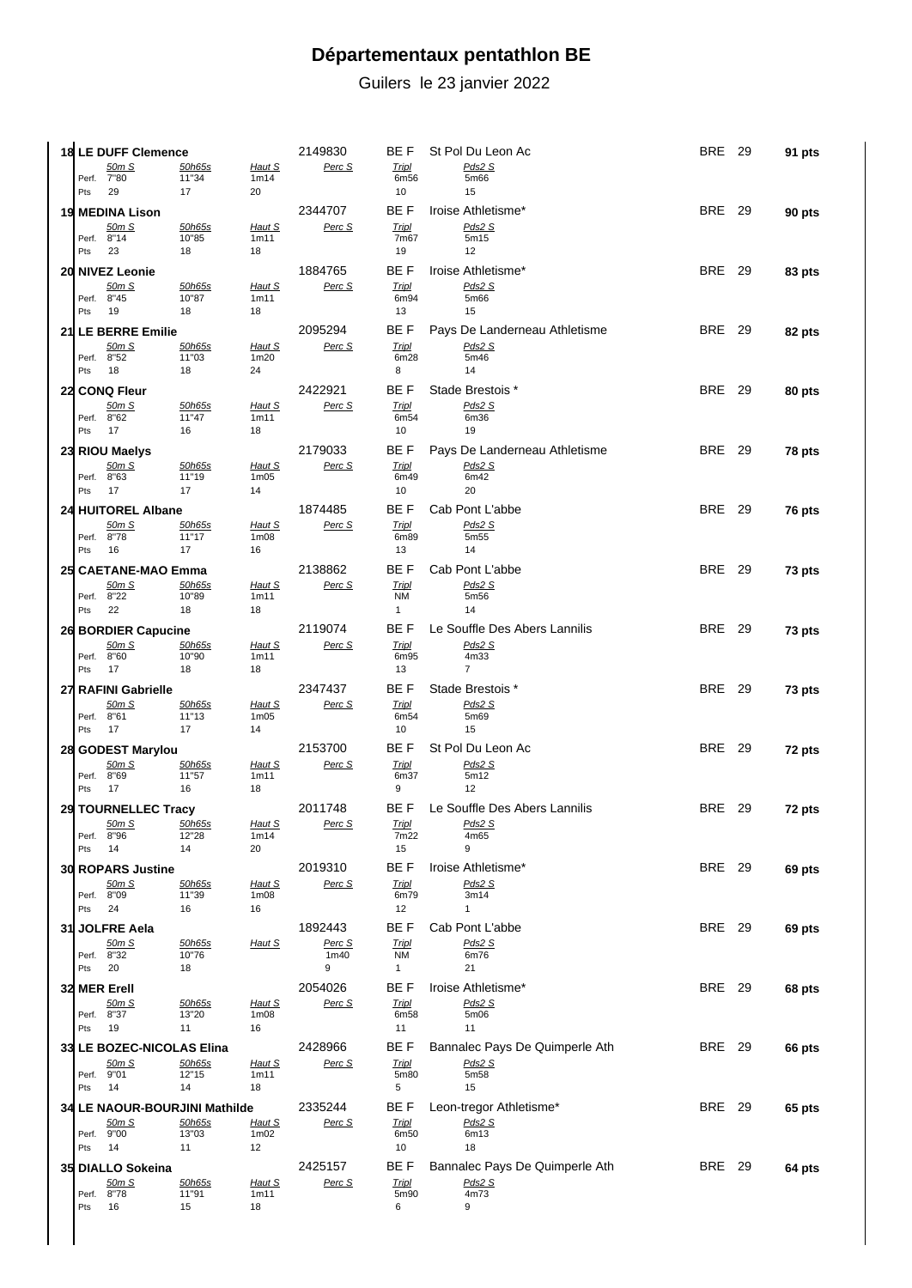## **Départementaux pentathlon BE**

Guilers le 23 janvier 2022

|     | 18 LE DUFF Clemence                       |                        |                                                | 2149830                    | BE F                      | St Pol Du Leon Ac                        | <b>BRE</b> 29 | 91 pts |
|-----|-------------------------------------------|------------------------|------------------------------------------------|----------------------------|---------------------------|------------------------------------------|---------------|--------|
|     | 50m S                                     | <u>50h65s</u>          | Haut S                                         | Perc S                     | <b>Tripl</b>              | Pds2 S                                   |               |        |
| Pts | Perf. 7"80<br>29                          | 11"34<br>17            | 1m14<br>20                                     |                            | 6m56<br>10                | 5m66<br>15                               |               |        |
|     | 19 MEDINA Lison                           |                        |                                                | 2344707                    | BE F                      | Iroise Athletisme*                       | <b>BRE</b> 29 | 90 pts |
|     | 50m S                                     | 50h65s                 | Haut S                                         | Perc S                     | <b>Tripl</b>              | Pds2 S                                   |               |        |
|     | Perf. 8"14                                | 10"85                  | 1m11                                           |                            | 7m67                      | 5m15                                     |               |        |
| Pts | 23                                        | 18                     | 18                                             |                            | 19                        | 12                                       |               |        |
|     | 20 NIVEZ Leonie                           |                        |                                                | 1884765                    | BE F                      | Iroise Athletisme*                       | <b>BRE</b> 29 | 83 pts |
|     | <u>50m S</u><br>Perf. 8"45                | 50h65s<br>10"87        | <u>Haut S</u><br>1m11                          | Perc S                     | <b>Tripl</b><br>6m94      | Pds2 S<br>5m66                           |               |        |
| Pts | 19                                        | 18                     | 18                                             |                            | 13                        | 15                                       |               |        |
|     | 21 LE BERRE Emilie                        |                        |                                                | 2095294                    |                           | BE F Pays De Landerneau Athletisme       | <b>BRE</b> 29 | 82 pts |
|     | <u>50m S</u><br>Perf. 8"52                | 50h65s<br>11"03        | Haut S<br>1m20                                 | Perc S                     | <b>Tripl</b><br>6m28      | Pds2S<br>5m46                            |               |        |
|     | Pts 18                                    | 18                     | 24                                             |                            | 8                         | 14                                       |               |        |
|     | 22 CONQ Fleur                             |                        |                                                | 2422921                    | BE F                      | Stade Brestois *                         | <b>BRE</b> 29 | 80 pts |
|     | 50m S                                     | 50h65s                 | Haut S                                         | Perc S                     | <b>Tripl</b>              | Pds2 S                                   |               |        |
|     | Perf. 8"62<br>Pts 17                      | 11"47<br>16            | 1m11<br>18                                     |                            | 6m54<br>10                | 6m36<br>19                               |               |        |
|     |                                           |                        |                                                | 2179033                    |                           | BE F Pays De Landerneau Athletisme       | <b>BRE</b> 29 |        |
|     | 23 RIOU Maelys<br>50m S                   | 50h65s                 | Haut S                                         | Perc S                     | <b>Tripl</b>              | Pds2S                                    |               | 78 pts |
|     | Perf. 8"63                                | 11"19                  | 1 <sub>m05</sub>                               |                            | 6m49                      | 6m42                                     |               |        |
|     | Pts 17                                    | 17                     | 14                                             |                            | 10                        | 20                                       |               |        |
|     | 24 HUITOREL Albane                        |                        |                                                | 1874485                    | BE F                      | Cab Pont L'abbe                          | <b>BRE</b> 29 | 76 pts |
|     | <u>50m S</u><br>Perf. 8"78                | <u>50h65s</u><br>11"17 | <u>Haut S</u><br>1 <sub>m</sub> 0 <sub>8</sub> | Perc S                     | <b>Tripl</b><br>6m89      | Pds2 S<br>5m <sub>55</sub>               |               |        |
| Pts | - 16                                      | 17                     | 16                                             |                            | 13                        | 14                                       |               |        |
|     | 25 CAETANE-MAO Emma                       |                        |                                                | 2138862                    | BE F                      | Cab Pont L'abbe                          | <b>BRE</b> 29 | 73 pts |
|     | <u>50m S</u>                              | 50h65s                 | Haut S                                         | Perc S                     | <b>Tripl</b>              | Pds2S                                    |               |        |
|     | Perf. 8"22<br>Pts 22                      | 10"89<br>18            | 1m11<br>18                                     |                            | <b>NM</b><br>$\mathbf{1}$ | 5m56<br>14                               |               |        |
|     | 26 BORDIER Capucine                       |                        |                                                | 2119074                    | BE F                      | Le Souffle Des Abers Lannilis            | <b>BRE</b> 29 | 73 pts |
|     | 50m S                                     | 50h65s                 | Haut S                                         | Perc S                     | <b>Tripl</b>              | Pds2 S                                   |               |        |
|     | Perf. 8"60                                | 10"90                  | 1m11                                           |                            | 6m95                      | 4m33                                     |               |        |
|     | Pts 17                                    | 18                     | 18                                             | 2347437                    | 13<br>BE F                | $\overline{7}$                           | <b>BRE</b> 29 |        |
|     |                                           |                        |                                                |                            |                           |                                          |               | 73 pts |
|     | 27 RAFINI Gabrielle                       |                        |                                                |                            |                           | Stade Brestois *                         |               |        |
|     | 50m S<br>Perf. 8"61                       | 50h65s<br>11"13        | <u>Haut S</u><br>1 <sub>m05</sub>              | Perc S                     | <b>Tripl</b><br>6m54      | Pds2S<br>5m69                            |               |        |
|     | Pts 17                                    | 17                     | 14                                             |                            | 10                        | 15                                       |               |        |
|     | 28 GODEST Marylou                         |                        |                                                | 2153700                    | BE F                      | St Pol Du Leon Ac                        | <b>BRE</b> 29 | 72 pts |
|     | <u>50m S</u>                              | <u>50h65s</u>          | Haut S                                         | Perc S                     | <b>Tripl</b>              | Pds2 S                                   |               |        |
|     | Perf. 8"69<br>Pts 17                      | 11"57<br>16            | 1m11<br>18                                     |                            | 6m37<br>9                 | 5m12<br>12                               |               |        |
|     |                                           |                        |                                                | 2011748                    | BE F                      | Le Souffle Des Abers Lannilis            | <b>BRE</b> 29 |        |
|     | 29 TOURNELLEC Tracy<br><u>50m S</u>       | 50h65s                 | <u>Haut S</u>                                  | <u>Perc S</u>              | <u>Tripl</u>              | Pds2S                                    |               | 72 pts |
|     | Perf. 8"96                                | 12"28                  | 1m14                                           |                            | 7m22                      | 4m65                                     |               |        |
| Pts | 14                                        | 14                     | 20                                             |                            | 15                        | 9                                        |               |        |
|     | <b>30 ROPARS Justine</b>                  |                        |                                                | 2019310                    | BE F                      | Iroise Athletisme*                       | <b>BRE</b> 29 | 69 pts |
|     | 50m S<br>Perf. 8"09                       | <u>50h65s</u><br>11"39 | Haut S<br>1 <sub>m</sub> 0 <sub>8</sub>        | Perc S                     | <b>Tripl</b><br>6m79      | Pds2 S<br>3m14                           |               |        |
| Pts | 24                                        | 16                     | 16                                             |                            | 12                        | $\mathbf{1}$                             |               |        |
|     | 31 JOLFRE Aela                            |                        |                                                | 1892443                    | BE F                      | Cab Pont L'abbe                          | <b>BRE</b> 29 | 69 pts |
|     | 50m S<br>Perf. 8"32                       | <u>50h65s</u><br>10"76 | Haut S                                         | Perc S<br>1 <sub>m40</sub> | <b>Tripl</b><br><b>NM</b> | Pds2 S<br>6m76                           |               |        |
| Pts | 20                                        | 18                     |                                                | 9                          | $\mathbf{1}$              | 21                                       |               |        |
|     | 32 MER Erell                              |                        |                                                | 2054026                    | BE F                      | Iroise Athletisme*                       | <b>BRE</b> 29 | 68 pts |
|     | 50m S                                     | <u>50h65s</u>          | <u>Haut S</u>                                  | Perc S                     | <b>Tripl</b>              | Pds2 S                                   |               |        |
| Pts | Perf. 8"37<br>19                          | 13"20<br>11            | 1 <sub>m</sub> 0 <sub>8</sub><br>16            |                            | 6m58<br>11                | 5m06<br>11                               |               |        |
|     |                                           |                        |                                                |                            |                           |                                          |               |        |
|     | 33 LE BOZEC-NICOLAS Elina<br><u>50m S</u> | 50h65s                 | <u>Haut S</u>                                  | 2428966<br>Perc S          | BE F<br><b>Tripl</b>      | Bannalec Pays De Quimperle Ath<br>Pds2 S | <b>BRE</b> 29 | 66 pts |
|     | Perf. 9"01                                | 12"15                  | 1m11                                           |                            | 5m80                      | 5m58                                     |               |        |
| Pts | 14                                        | 14                     | 18                                             |                            | 5                         | 15                                       |               |        |
|     | 34 LE NAOUR-BOURJINI Mathilde             |                        |                                                | 2335244                    | BE F                      | Leon-tregor Athletisme*                  | <b>BRE</b> 29 | 65 pts |
|     | <u>50m S</u><br>Perf. 9"00                | <u>50h65s</u><br>13"03 | <u>Haut S</u><br>1 <sub>m</sub> 0 <sub>2</sub> | Perc S                     | <b>Tripl</b><br>6m50      | Pds2S<br>6m13                            |               |        |
| Pts | 14                                        | 11                     | 12                                             |                            | 10                        | 18                                       |               |        |
|     | 35 DIALLO Sokeina                         |                        |                                                | 2425157                    | BE F                      | Bannalec Pays De Quimperle Ath           | <b>BRE</b> 29 | 64 pts |
|     | 50m S<br>Perf. 8"78                       | <u>50h65s</u><br>11"91 | <u>Haut S</u><br>1m11                          | Perc S                     | <b>Tripl</b><br>5m90      | Pds2 S<br>4m73                           |               |        |